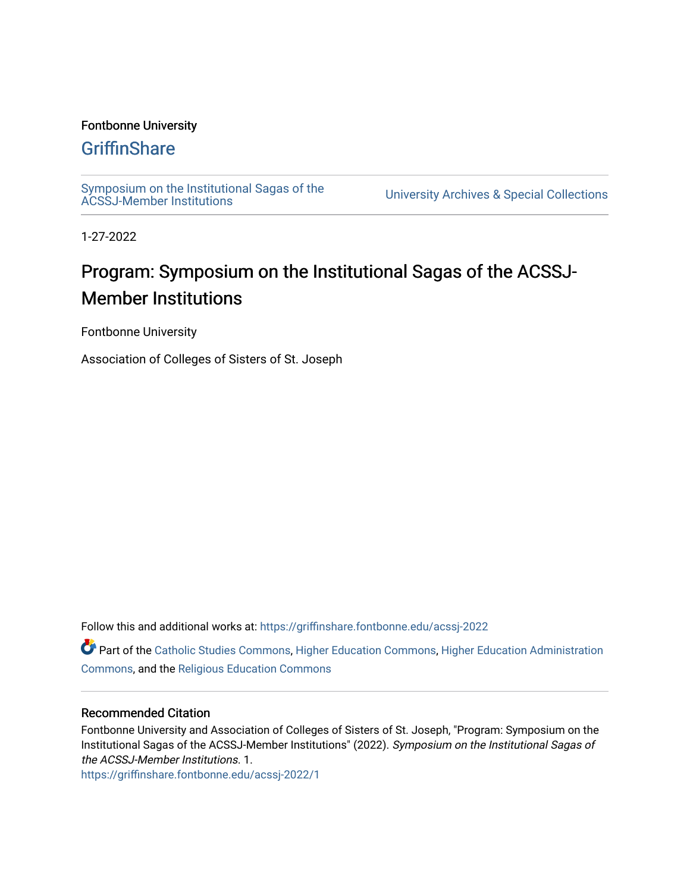#### Fontbonne University

### **[GriffinShare](https://griffinshare.fontbonne.edu/)**

[Symposium on the Institutional Sagas of the](https://griffinshare.fontbonne.edu/acssj-2022) 

**University Archives & Special Collections** 

1-27-2022

# Program: Symposium on the Institutional Sagas of the ACSSJ-Member Institutions

Fontbonne University

Association of Colleges of Sisters of St. Joseph

Follow this and additional works at: [https://griffinshare.fontbonne.edu/acssj-2022](https://griffinshare.fontbonne.edu/acssj-2022?utm_source=griffinshare.fontbonne.edu%2Facssj-2022%2F1&utm_medium=PDF&utm_campaign=PDFCoverPages)

Part of the [Catholic Studies Commons](http://network.bepress.com/hgg/discipline/1294?utm_source=griffinshare.fontbonne.edu%2Facssj-2022%2F1&utm_medium=PDF&utm_campaign=PDFCoverPages), [Higher Education Commons](http://network.bepress.com/hgg/discipline/1245?utm_source=griffinshare.fontbonne.edu%2Facssj-2022%2F1&utm_medium=PDF&utm_campaign=PDFCoverPages), [Higher Education Administration](http://network.bepress.com/hgg/discipline/791?utm_source=griffinshare.fontbonne.edu%2Facssj-2022%2F1&utm_medium=PDF&utm_campaign=PDFCoverPages)  [Commons](http://network.bepress.com/hgg/discipline/791?utm_source=griffinshare.fontbonne.edu%2Facssj-2022%2F1&utm_medium=PDF&utm_campaign=PDFCoverPages), and the [Religious Education Commons](http://network.bepress.com/hgg/discipline/1414?utm_source=griffinshare.fontbonne.edu%2Facssj-2022%2F1&utm_medium=PDF&utm_campaign=PDFCoverPages)

#### Recommended Citation

Fontbonne University and Association of Colleges of Sisters of St. Joseph, "Program: Symposium on the Institutional Sagas of the ACSSJ-Member Institutions" (2022). Symposium on the Institutional Sagas of the ACSSJ-Member Institutions. 1.

[https://griffinshare.fontbonne.edu/acssj-2022/1](https://griffinshare.fontbonne.edu/acssj-2022/1?utm_source=griffinshare.fontbonne.edu%2Facssj-2022%2F1&utm_medium=PDF&utm_campaign=PDFCoverPages)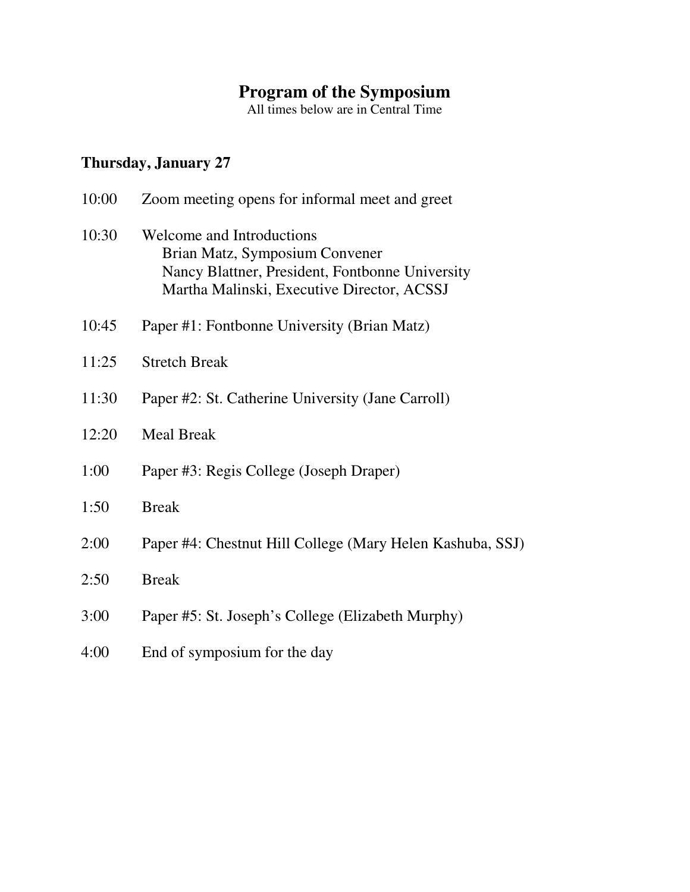#### **Program of the Symposium**

All times below are in Central Time

## **Thursday, January 27**

| 10:00 | Zoom meeting opens for informal meet and greet                                                                                                               |
|-------|--------------------------------------------------------------------------------------------------------------------------------------------------------------|
| 10:30 | Welcome and Introductions<br>Brian Matz, Symposium Convener<br>Nancy Blattner, President, Fontbonne University<br>Martha Malinski, Executive Director, ACSSJ |
| 10:45 | Paper #1: Fontbonne University (Brian Matz)                                                                                                                  |
| 11:25 | <b>Stretch Break</b>                                                                                                                                         |
| 11:30 | Paper #2: St. Catherine University (Jane Carroll)                                                                                                            |
| 12:20 | <b>Meal Break</b>                                                                                                                                            |
| 1:00  | Paper #3: Regis College (Joseph Draper)                                                                                                                      |
| 1:50  | <b>Break</b>                                                                                                                                                 |
| 2:00  | Paper #4: Chestnut Hill College (Mary Helen Kashuba, SSJ)                                                                                                    |
| 2:50  | <b>Break</b>                                                                                                                                                 |
| 3:00  | Paper #5: St. Joseph's College (Elizabeth Murphy)                                                                                                            |
| 4:00  | End of symposium for the day                                                                                                                                 |